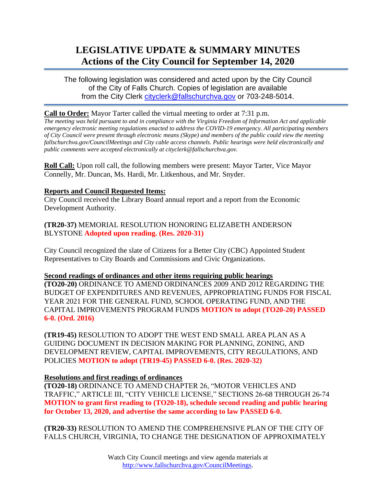# **LEGISLATIVE UPDATE & SUMMARY MINUTES Actions of the City Council for September 14, 2020**

The following legislation was considered and acted upon by the City Council of the City of Falls Church. Copies of legislation are available from the City Clerk [cityclerk@fallschurchva.gov](mailto:cityclerk@fallschurchva.gov) or 703-248-5014.

#### **Call to Order:** Mayor Tarter called the virtual meeting to order at 7:31 p.m.

*The meeting was held pursuant to and in compliance with the Virginia Freedom of Information Act and applicable emergency electronic meeting regulations enacted to address the COVID-19 emergency. All participating members of City Council were present through electronic means (Skype) and members of the public could view the meeting fallschurchva.gov/CouncilMeetings and City cable access channels. Public hearings were held electronically and public comments were accepted electronically at cityclerk@fallschurchva.gov.*

**Roll Call:** Upon roll call, the following members were present: Mayor Tarter, Vice Mayor Connelly, Mr. Duncan, Ms. Hardi, Mr. Litkenhous, and Mr. Snyder.

## **Reports and Council Requested Items:**

City Council received the Library Board annual report and a report from the Economic Development Authority.

**(TR20-37)** MEMORIAL RESOLUTION HONORING ELIZABETH ANDERSON BLYSTONE **Adopted upon reading. (Res. 2020-31)**

City Council recognized the slate of Citizens for a Better City (CBC) Appointed Student Representatives to City Boards and Commissions and Civic Organizations.

#### **Second readings of ordinances and other items requiring public hearings**

**(TO20-20)** ORDINANCE TO AMEND ORDINANCES 2009 AND 2012 REGARDING THE BUDGET OF EXPENDITURES AND REVENUES, APPROPRIATING FUNDS FOR FISCAL YEAR 2021 FOR THE GENERAL FUND, SCHOOL OPERATING FUND, AND THE CAPITAL IMPROVEMENTS PROGRAM FUNDS **MOTION to adopt (TO20-20) PASSED 6-0. (Ord. 2016)**

**(TR19-45)** RESOLUTION TO ADOPT THE WEST END SMALL AREA PLAN AS A GUIDING DOCUMENT IN DECISION MAKING FOR PLANNING, ZONING, AND DEVELOPMENT REVIEW, CAPITAL IMPROVEMENTS, CITY REGULATIONS, AND POLICIES **MOTION to adopt (TR19-45) PASSED 6-0. (Res. 2020-32)**

# **Resolutions and first readings of ordinances**

**(TO20-18)** ORDINANCE TO AMEND CHAPTER 26, "MOTOR VEHICLES AND TRAFFIC," ARTICLE III, "CITY VEHICLE LICENSE," SECTIONS 26-68 THROUGH 26-74 **MOTION to grant first reading to (TO20-18), schedule second reading and public hearing for October 13, 2020, and advertise the same according to law PASSED 6-0.**

**(TR20-33)** RESOLUTION TO AMEND THE COMPREHENSIVE PLAN OF THE CITY OF FALLS CHURCH, VIRGINIA, TO CHANGE THE DESIGNATION OF APPROXIMATELY